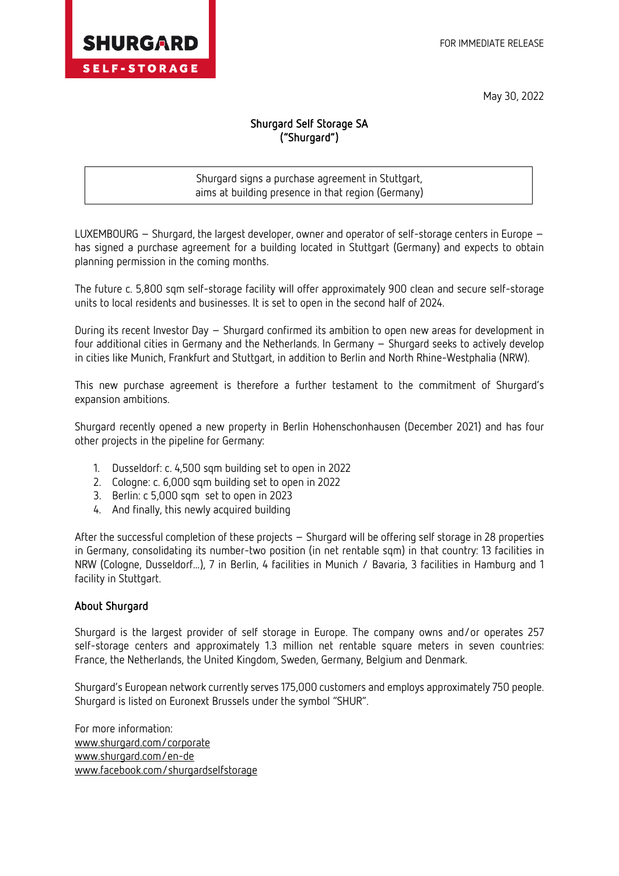

May 30, 2022

## Shurgard Self Storage SA ("Shurgard")

 $\overline{a}$ Shurgard signs a purchase agreement in Stuttgart, aims at building presence in that region (Germany)

LUXEMBOURG – Shurgard, the largest developer, owner and operator of self-storage centers in Europe – has signed a purchase agreement for a building located in Stuttgart (Germany) and expects to obtain planning permission in the coming months.

The future c. 5,800 sqm self-storage facility will offer approximately 900 clean and secure self-storage units to local residents and businesses. It is set to open in the second half of 2024.

During its recent Investor Day – Shurgard confirmed its ambition to open new areas for development in four additional cities in Germany and the Netherlands. In Germany – Shurgard seeks to actively develop in cities like Munich, Frankfurt and Stuttgart, in addition to Berlin and North Rhine-Westphalia (NRW).

This new purchase agreement is therefore a further testament to the commitment of Shurgard's expansion ambitions.

Shurgard recently opened a new property in Berlin Hohenschonhausen (December 2021) and has four other projects in the pipeline for Germany:

- 1. Dusseldorf: c. 4,500 sqm building set to open in 2022
- 2. Cologne: c. 6,000 sqm building set to open in 2022
- 3. Berlin: c 5,000 sqm set to open in 2023
- 4. And finally, this newly acquired building

After the successful completion of these projects – Shurgard will be offering self storage in 28 properties in Germany, consolidating its number-two position (in net rentable sqm) in that country: 13 facilities in NRW (Cologne, Dusseldorf...), 7 in Berlin, 4 facilities in Munich / Bavaria, 3 facilities in Hamburg and 1 facility in Stuttgart.

## About Shurgard

Shurgard is the largest provider of self storage in Europe. The company owns and/or operates 257 self-storage centers and approximately 1.3 million net rentable square meters in seven countries: France, the Netherlands, the United Kingdom, Sweden, Germany, Belgium and Denmark.

Shurgard's European network currently serves 175,000 customers and employs approximately 750 people. Shurgard is listed on Euronext Brussels under the symbol "SHUR".

For more information: [www.shurgard.com/corporate](https://www.shurgard.com/corporate) [www.shurgard.com/](https://www.shurgard.com/en-nl)en-de [www.facebook.com/shurgardselfstorage](http://www.facebook.com/shurgardselfstorage)